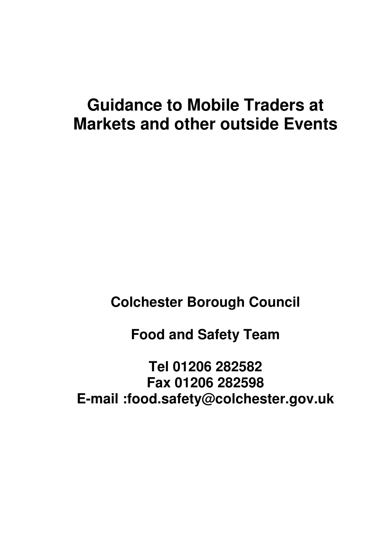# **Guidance to Mobile Traders at Markets and other outside Events**

**Colchester Borough Council** 

**Food and Safety Team** 

**Tel 01206 282582 Fax 01206 282598 E-mail :food.safety@colchester.gov.uk**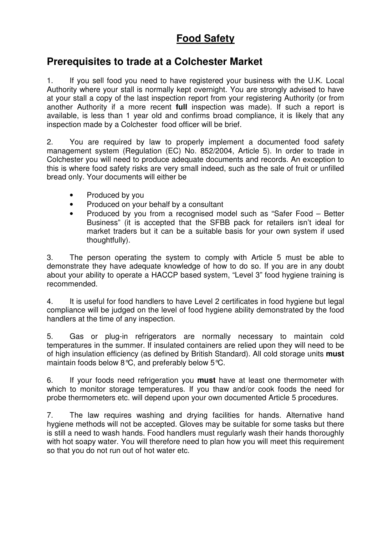# **Food Safety**

# **Prerequisites to trade at a Colchester Market**

1. If you sell food you need to have registered your business with the U.K. Local Authority where your stall is normally kept overnight. You are strongly advised to have at your stall a copy of the last inspection report from your registering Authority (or from another Authority if a more recent **full** inspection was made). If such a report is available, is less than 1 year old and confirms broad compliance, it is likely that any inspection made by a Colchester food officer will be brief.

2. You are required by law to properly implement a documented food safety management system (Regulation (EC) No. 852/2004, Article 5). In order to trade in Colchester you will need to produce adequate documents and records. An exception to this is where food safety risks are very small indeed, such as the sale of fruit or unfilled bread only. Your documents will either be

- Produced by you
- Produced on your behalf by a consultant
- Produced by you from a recognised model such as "Safer Food Better Business" (it is accepted that the SFBB pack for retailers isn't ideal for market traders but it can be a suitable basis for your own system if used thoughtfully).

3. The person operating the system to comply with Article 5 must be able to demonstrate they have adequate knowledge of how to do so. If you are in any doubt about your ability to operate a HACCP based system, "Level 3" food hygiene training is recommended.

4. It is useful for food handlers to have Level 2 certificates in food hygiene but legal compliance will be judged on the level of food hygiene ability demonstrated by the food handlers at the time of any inspection.

5. Gas or plug-in refrigerators are normally necessary to maintain cold temperatures in the summer. If insulated containers are relied upon they will need to be of high insulation efficiency (as defined by British Standard). All cold storage units **must** maintain foods below 8°C, and preferably below 5°C.

6. If your foods need refrigeration you **must** have at least one thermometer with which to monitor storage temperatures. If you thaw and/or cook foods the need for probe thermometers etc. will depend upon your own documented Article 5 procedures.

7. The law requires washing and drying facilities for hands. Alternative hand hygiene methods will not be accepted. Gloves may be suitable for some tasks but there is still a need to wash hands. Food handlers must regularly wash their hands thoroughly with hot soapy water. You will therefore need to plan how you will meet this requirement so that you do not run out of hot water etc.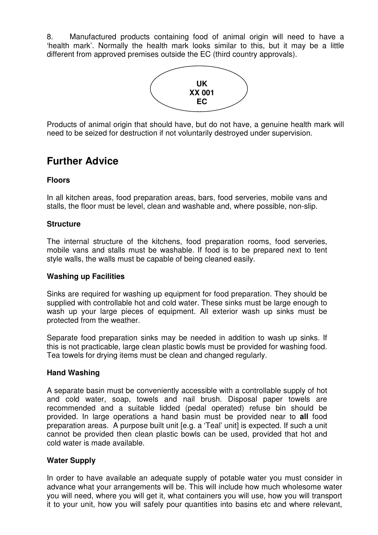8. Manufactured products containing food of animal origin will need to have a 'health mark'. Normally the health mark looks similar to this, but it may be a little different from approved premises outside the EC (third country approvals).



Products of animal origin that should have, but do not have, a genuine health mark will need to be seized for destruction if not voluntarily destroyed under supervision.

# **Further Advice**

# **Floors**

In all kitchen areas, food preparation areas, bars, food serveries, mobile vans and stalls, the floor must be level, clean and washable and, where possible, non-slip.

# **Structure**

The internal structure of the kitchens, food preparation rooms, food serveries, mobile vans and stalls must be washable. If food is to be prepared next to tent style walls, the walls must be capable of being cleaned easily.

# **Washing up Facilities**

Sinks are required for washing up equipment for food preparation. They should be supplied with controllable hot and cold water. These sinks must be large enough to wash up your large pieces of equipment. All exterior wash up sinks must be protected from the weather.

Separate food preparation sinks may be needed in addition to wash up sinks. If this is not practicable, large clean plastic bowls must be provided for washing food. Tea towels for drying items must be clean and changed regularly.

# **Hand Washing**

A separate basin must be conveniently accessible with a controllable supply of hot and cold water, soap, towels and nail brush. Disposal paper towels are recommended and a suitable lidded (pedal operated) refuse bin should be provided. In large operations a hand basin must be provided near to **all** food preparation areas. A purpose built unit [e.g. a 'Teal' unit] is expected. If such a unit cannot be provided then clean plastic bowls can be used, provided that hot and cold water is made available.

# **Water Supply**

In order to have available an adequate supply of potable water you must consider in advance what your arrangements will be. This will include how much wholesome water you will need, where you will get it, what containers you will use, how you will transport it to your unit, how you will safely pour quantities into basins etc and where relevant,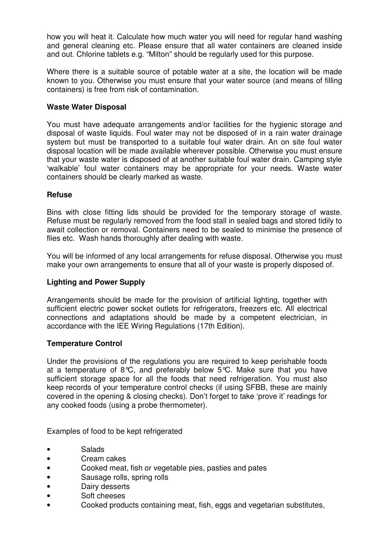how you will heat it. Calculate how much water you will need for regular hand washing and general cleaning etc. Please ensure that all water containers are cleaned inside and out. Chlorine tablets e.g. "Milton" should be regularly used for this purpose.

Where there is a suitable source of potable water at a site, the location will be made known to you. Otherwise you must ensure that your water source (and means of filling containers) is free from risk of contamination.

### **Waste Water Disposal**

You must have adequate arrangements and/or facilities for the hygienic storage and disposal of waste liquids. Foul water may not be disposed of in a rain water drainage system but must be transported to a suitable foul water drain. An on site foul water disposal location will be made available wherever possible. Otherwise you must ensure that your waste water is disposed of at another suitable foul water drain. Camping style 'walkable' foul water containers may be appropriate for your needs. Waste water containers should be clearly marked as waste.

#### **Refuse**

Bins with close fitting lids should be provided for the temporary storage of waste. Refuse must be regularly removed from the food stall in sealed bags and stored tidily to await collection or removal. Containers need to be sealed to minimise the presence of flies etc. Wash hands thoroughly after dealing with waste.

You will be informed of any local arrangements for refuse disposal. Otherwise you must make your own arrangements to ensure that all of your waste is properly disposed of.

# **Lighting and Power Supply**

Arrangements should be made for the provision of artificial lighting, together with sufficient electric power socket outlets for refrigerators, freezers etc. All electrical connections and adaptations should be made by a competent electrician, in accordance with the IEE Wiring Regulations (17th Edition).

#### **Temperature Control**

Under the provisions of the regulations you are required to keep perishable foods at a temperature of 8°C, and preferably below  $5^{\circ}$ C. Make sure that you have sufficient storage space for all the foods that need refrigeration. You must also keep records of your temperature control checks (if using SFBB, these are mainly covered in the opening & closing checks). Don't forget to take 'prove it' readings for any cooked foods (using a probe thermometer).

Examples of food to be kept refrigerated

- Salads
- Cream cakes
- Cooked meat, fish or vegetable pies, pasties and pates
- Sausage rolls, spring rolls
- Dairy desserts
- Soft cheeses
- Cooked products containing meat, fish, eggs and vegetarian substitutes,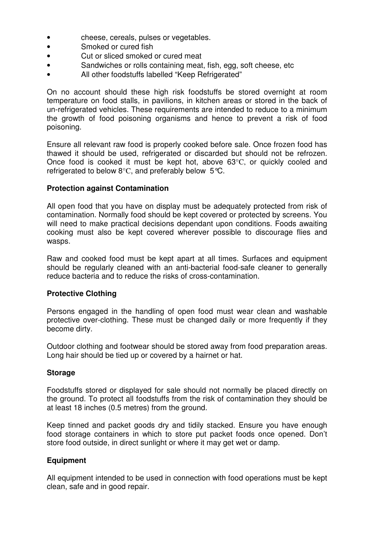- cheese, cereals, pulses or vegetables.
- Smoked or cured fish
- Cut or sliced smoked or cured meat
- Sandwiches or rolls containing meat, fish, egg, soft cheese, etc
- All other foodstuffs labelled "Keep Refrigerated"

On no account should these high risk foodstuffs be stored overnight at room temperature on food stalls, in pavilions, in kitchen areas or stored in the back of un-refrigerated vehicles. These requirements are intended to reduce to a minimum the growth of food poisoning organisms and hence to prevent a risk of food poisoning.

Ensure all relevant raw food is properly cooked before sale. Once frozen food has thawed it should be used, refrigerated or discarded but should not be refrozen. Once food is cooked it must be kept hot, above 63°C, or quickly cooled and refrigerated to below 8°C, and preferably below 5°C.

#### **Protection against Contamination**

All open food that you have on display must be adequately protected from risk of contamination. Normally food should be kept covered or protected by screens. You will need to make practical decisions dependant upon conditions. Foods awaiting cooking must also be kept covered wherever possible to discourage flies and wasps.

Raw and cooked food must be kept apart at all times. Surfaces and equipment should be regularly cleaned with an anti-bacterial food-safe cleaner to generally reduce bacteria and to reduce the risks of cross-contamination.

#### **Protective Clothing**

Persons engaged in the handling of open food must wear clean and washable protective over-clothing. These must be changed daily or more frequently if they become dirty.

Outdoor clothing and footwear should be stored away from food preparation areas. Long hair should be tied up or covered by a hairnet or hat.

#### **Storage**

Foodstuffs stored or displayed for sale should not normally be placed directly on the ground. To protect all foodstuffs from the risk of contamination they should be at least 18 inches (0.5 metres) from the ground.

Keep tinned and packet goods dry and tidily stacked. Ensure you have enough food storage containers in which to store put packet foods once opened. Don't store food outside, in direct sunlight or where it may get wet or damp.

#### **Equipment**

All equipment intended to be used in connection with food operations must be kept clean, safe and in good repair.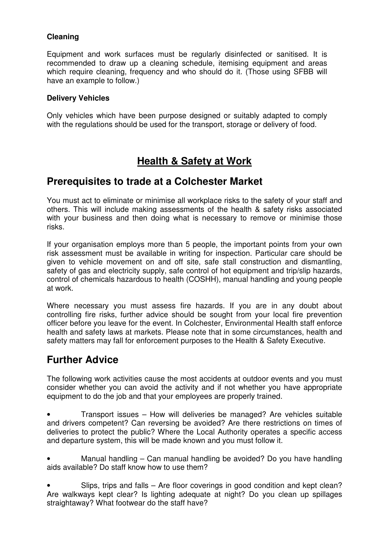# **Cleaning**

Equipment and work surfaces must be regularly disinfected or sanitised. It is recommended to draw up a cleaning schedule, itemising equipment and areas which require cleaning, frequency and who should do it. (Those using SFBB will have an example to follow.)

# **Delivery Vehicles**

Only vehicles which have been purpose designed or suitably adapted to comply with the regulations should be used for the transport, storage or delivery of food.

# **Health & Safety at Work**

# **Prerequisites to trade at a Colchester Market**

You must act to eliminate or minimise all workplace risks to the safety of your staff and others. This will include making assessments of the health & safety risks associated with your business and then doing what is necessary to remove or minimise those risks.

If your organisation employs more than 5 people, the important points from your own risk assessment must be available in writing for inspection. Particular care should be given to vehicle movement on and off site, safe stall construction and dismantling, safety of gas and electricity supply, safe control of hot equipment and trip/slip hazards, control of chemicals hazardous to health (COSHH), manual handling and young people at work.

Where necessary you must assess fire hazards. If you are in any doubt about controlling fire risks, further advice should be sought from your local fire prevention officer before you leave for the event. In Colchester, Environmental Health staff enforce health and safety laws at markets. Please note that in some circumstances, health and safety matters may fall for enforcement purposes to the Health & Safety Executive.

# **Further Advice**

The following work activities cause the most accidents at outdoor events and you must consider whether you can avoid the activity and if not whether you have appropriate equipment to do the job and that your employees are properly trained.

• Transport issues – How will deliveries be managed? Are vehicles suitable and drivers competent? Can reversing be avoided? Are there restrictions on times of deliveries to protect the public? Where the Local Authority operates a specific access and departure system, this will be made known and you must follow it.

• Manual handling – Can manual handling be avoided? Do you have handling aids available? Do staff know how to use them?

• Slips, trips and falls – Are floor coverings in good condition and kept clean? Are walkways kept clear? Is lighting adequate at night? Do you clean up spillages straightaway? What footwear do the staff have?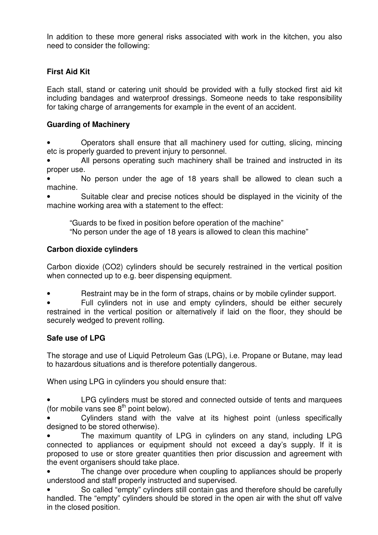In addition to these more general risks associated with work in the kitchen, you also need to consider the following:

# **First Aid Kit**

Each stall, stand or catering unit should be provided with a fully stocked first aid kit including bandages and waterproof dressings. Someone needs to take responsibility for taking charge of arrangements for example in the event of an accident.

# **Guarding of Machinery**

• Operators shall ensure that all machinery used for cutting, slicing, mincing etc is properly guarded to prevent injury to personnel.

All persons operating such machinery shall be trained and instructed in its proper use.

• No person under the age of 18 years shall be allowed to clean such a machine.

• Suitable clear and precise notices should be displayed in the vicinity of the machine working area with a statement to the effect:

"Guards to be fixed in position before operation of the machine"

"No person under the age of 18 years is allowed to clean this machine"

# **Carbon dioxide cylinders**

Carbon dioxide (CO2) cylinders should be securely restrained in the vertical position when connected up to e.g. beer dispensing equipment.

Restraint may be in the form of straps, chains or by mobile cylinder support.

Full cylinders not in use and empty cylinders, should be either securely restrained in the vertical position or alternatively if laid on the floor, they should be securely wedged to prevent rolling.

# **Safe use of LPG**

The storage and use of Liquid Petroleum Gas (LPG), i.e. Propane or Butane, may lead to hazardous situations and is therefore potentially dangerous.

When using LPG in cylinders you should ensure that:

• LPG cylinders must be stored and connected outside of tents and marquees (for mobile vans see  $8<sup>th</sup>$  point below).

• Cylinders stand with the valve at its highest point (unless specifically designed to be stored otherwise).

• The maximum quantity of LPG in cylinders on any stand, including LPG connected to appliances or equipment should not exceed a day's supply. If it is proposed to use or store greater quantities then prior discussion and agreement with the event organisers should take place.

The change over procedure when coupling to appliances should be properly understood and staff properly instructed and supervised.

• So called "empty" cylinders still contain gas and therefore should be carefully handled. The "empty" cylinders should be stored in the open air with the shut off valve in the closed position.